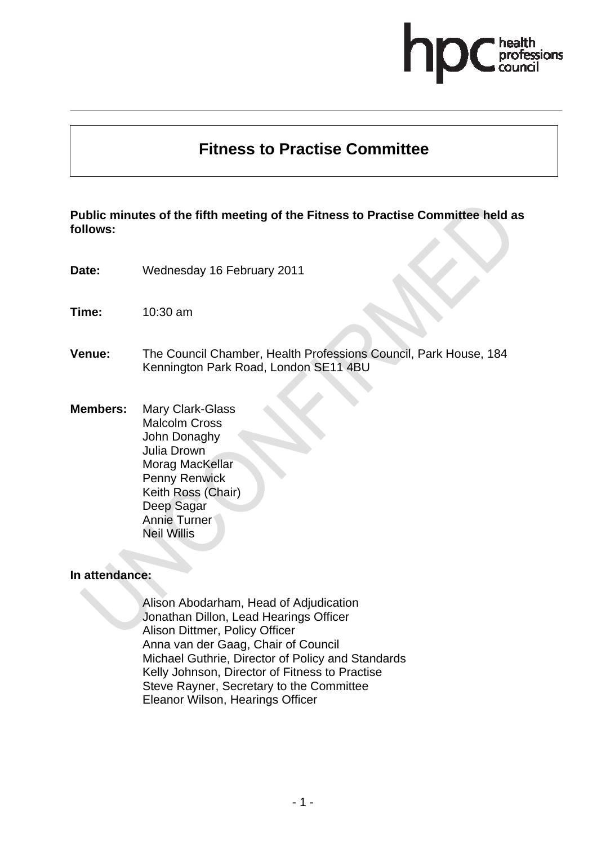# essions

## **Fitness to Practise Committee**

## **Public minutes of the fifth meeting of the Fitness to Practise Committee held as follows:**

- **Date:** Wednesday 16 February 2011
- **Time:** 10:30 am
- **Venue:** The Council Chamber, Health Professions Council, Park House, 184 Kennington Park Road, London SE11 4BU
- **Members:** Mary Clark-Glass Malcolm Cross John Donaghy Julia Drown Morag MacKellar Penny Renwick Keith Ross (Chair) Deep Sagar Annie Turner Neil Willis

#### **In attendance:**

Alison Abodarham, Head of Adjudication Jonathan Dillon, Lead Hearings Officer Alison Dittmer, Policy Officer Anna van der Gaag, Chair of Council Michael Guthrie, Director of Policy and Standards Kelly Johnson, Director of Fitness to Practise Steve Rayner, Secretary to the Committee Eleanor Wilson, Hearings Officer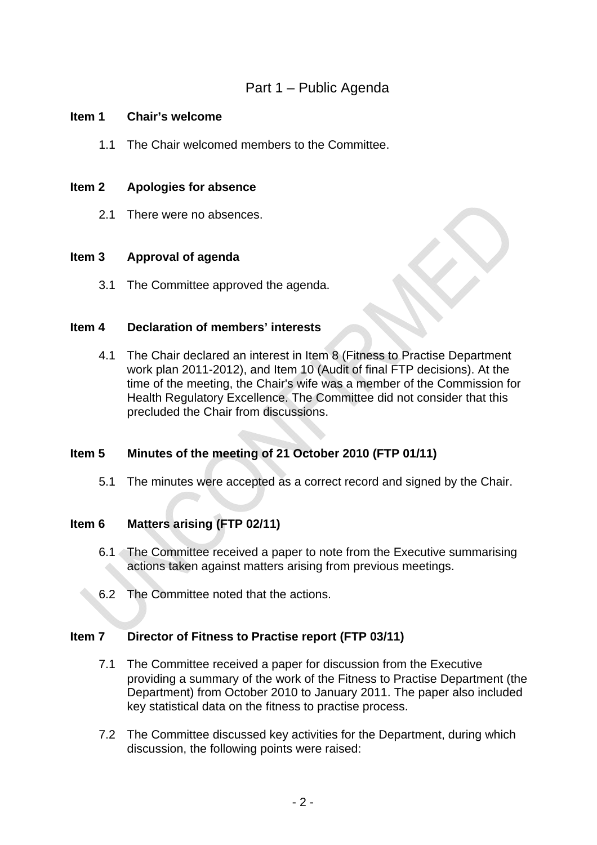## Part 1 – Public Agenda

#### **Item 1 Chair's welcome**

1.1 The Chair welcomed members to the Committee.

#### **Item 2 Apologies for absence**

2.1 There were no absences.

## **Item 3 Approval of agenda**

3.1 The Committee approved the agenda.

## **Item 4 Declaration of members' interests**

4.1 The Chair declared an interest in Item 8 (Fitness to Practise Department work plan 2011-2012), and Item 10 (Audit of final FTP decisions). At the time of the meeting, the Chair's wife was a member of the Commission for Health Regulatory Excellence. The Committee did not consider that this precluded the Chair from discussions.

## **Item 5 Minutes of the meeting of 21 October 2010 (FTP 01/11)**

5.1 The minutes were accepted as a correct record and signed by the Chair.

## **Item 6 Matters arising (FTP 02/11)**

- 6.1 The Committee received a paper to note from the Executive summarising actions taken against matters arising from previous meetings.
- 6.2 The Committee noted that the actions.

#### **Item 7 Director of Fitness to Practise report (FTP 03/11)**

- 7.1 The Committee received a paper for discussion from the Executive providing a summary of the work of the Fitness to Practise Department (the Department) from October 2010 to January 2011. The paper also included key statistical data on the fitness to practise process.
- 7.2 The Committee discussed key activities for the Department, during which discussion, the following points were raised: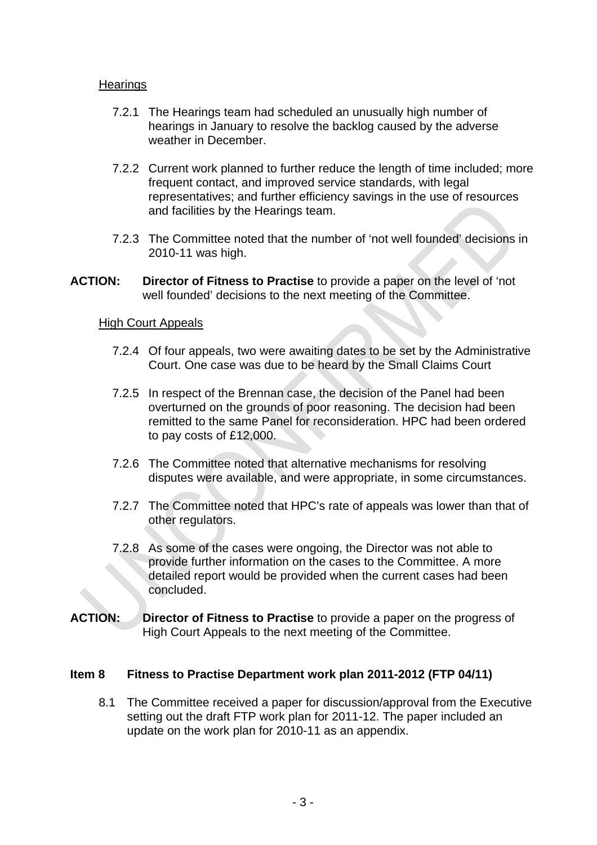## **Hearings**

- 7.2.1 The Hearings team had scheduled an unusually high number of hearings in January to resolve the backlog caused by the adverse weather in December.
- 7.2.2 Current work planned to further reduce the length of time included; more frequent contact, and improved service standards, with legal representatives; and further efficiency savings in the use of resources and facilities by the Hearings team.
- 7.2.3 The Committee noted that the number of 'not well founded' decisions in 2010-11 was high.
- **ACTION: Director of Fitness to Practise** to provide a paper on the level of 'not well founded' decisions to the next meeting of the Committee.

#### High Court Appeals

- 7.2.4 Of four appeals, two were awaiting dates to be set by the Administrative Court. One case was due to be heard by the Small Claims Court
- 7.2.5 In respect of the Brennan case, the decision of the Panel had been overturned on the grounds of poor reasoning. The decision had been remitted to the same Panel for reconsideration. HPC had been ordered to pay costs of £12,000.
- 7.2.6 The Committee noted that alternative mechanisms for resolving disputes were available, and were appropriate, in some circumstances.
- 7.2.7 The Committee noted that HPC's rate of appeals was lower than that of other regulators.
- 7.2.8 As some of the cases were ongoing, the Director was not able to provide further information on the cases to the Committee. A more detailed report would be provided when the current cases had been concluded.
- **ACTION: Director of Fitness to Practise** to provide a paper on the progress of High Court Appeals to the next meeting of the Committee.

#### **Item 8 Fitness to Practise Department work plan 2011-2012 (FTP 04/11)**

8.1 The Committee received a paper for discussion/approval from the Executive setting out the draft FTP work plan for 2011-12. The paper included an update on the work plan for 2010-11 as an appendix.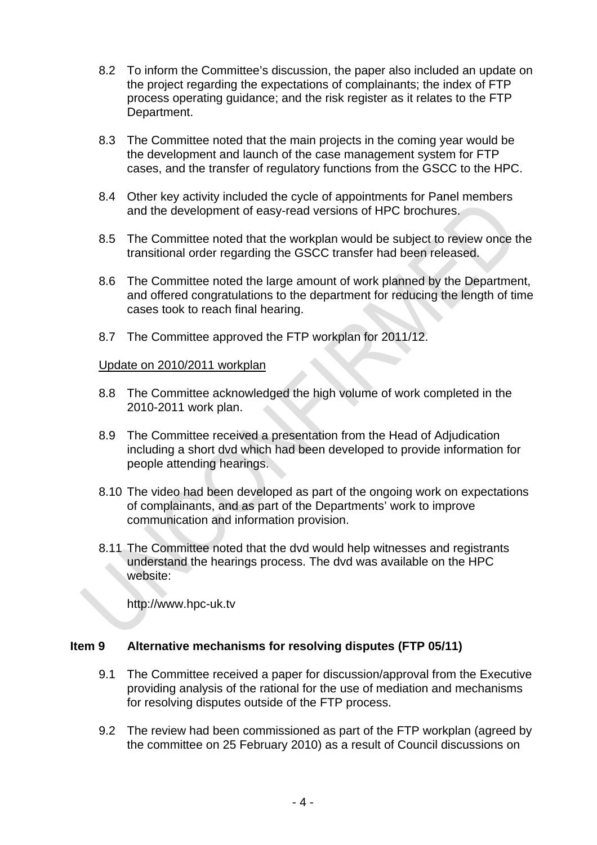- 8.2 To inform the Committee's discussion, the paper also included an update on the project regarding the expectations of complainants; the index of FTP process operating guidance; and the risk register as it relates to the FTP Department.
- 8.3 The Committee noted that the main projects in the coming year would be the development and launch of the case management system for FTP cases, and the transfer of regulatory functions from the GSCC to the HPC.
- 8.4 Other key activity included the cycle of appointments for Panel members and the development of easy-read versions of HPC brochures.
- 8.5 The Committee noted that the workplan would be subject to review once the transitional order regarding the GSCC transfer had been released.
- 8.6 The Committee noted the large amount of work planned by the Department, and offered congratulations to the department for reducing the length of time cases took to reach final hearing.
- 8.7 The Committee approved the FTP workplan for 2011/12.

## Update on 2010/2011 workplan

- 8.8 The Committee acknowledged the high volume of work completed in the 2010-2011 work plan.
- 8.9 The Committee received a presentation from the Head of Adjudication including a short dvd which had been developed to provide information for people attending hearings.
- 8.10 The video had been developed as part of the ongoing work on expectations of complainants, and as part of the Departments' work to improve communication and information provision.
- 8.11 The Committee noted that the dvd would help witnesses and registrants understand the hearings process. The dvd was available on the HPC website:

http://www.hpc-uk.tv

## **Item 9 Alternative mechanisms for resolving disputes (FTP 05/11)**

- 9.1 The Committee received a paper for discussion/approval from the Executive providing analysis of the rational for the use of mediation and mechanisms for resolving disputes outside of the FTP process.
- 9.2 The review had been commissioned as part of the FTP workplan (agreed by the committee on 25 February 2010) as a result of Council discussions on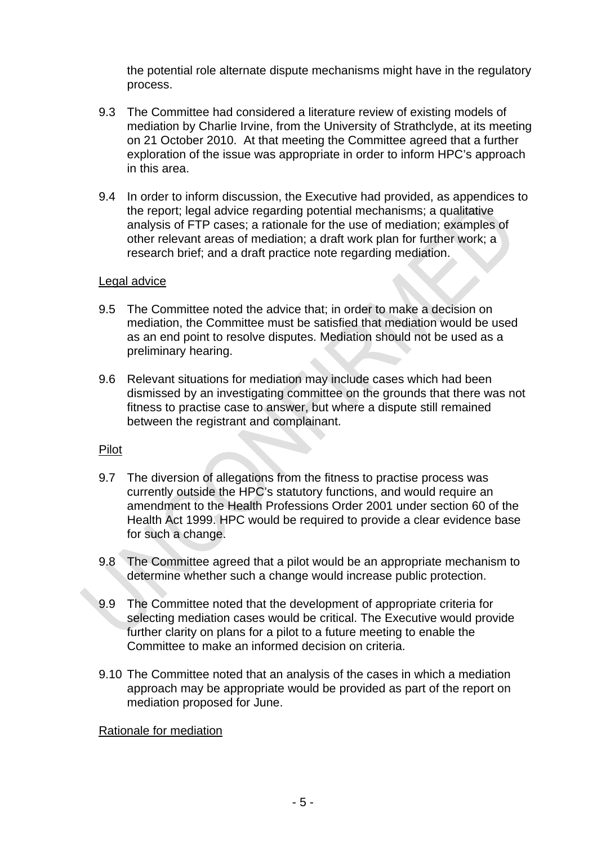the potential role alternate dispute mechanisms might have in the regulatory process.

- 9.3 The Committee had considered a literature review of existing models of mediation by Charlie Irvine, from the University of Strathclyde, at its meeting on 21 October 2010. At that meeting the Committee agreed that a further exploration of the issue was appropriate in order to inform HPC's approach in this area.
- 9.4 In order to inform discussion, the Executive had provided, as appendices to the report; legal advice regarding potential mechanisms; a qualitative analysis of FTP cases; a rationale for the use of mediation; examples of other relevant areas of mediation; a draft work plan for further work; a research brief; and a draft practice note regarding mediation.

#### Legal advice

- 9.5 The Committee noted the advice that; in order to make a decision on mediation, the Committee must be satisfied that mediation would be used as an end point to resolve disputes. Mediation should not be used as a preliminary hearing.
- 9.6 Relevant situations for mediation may include cases which had been dismissed by an investigating committee on the grounds that there was not fitness to practise case to answer, but where a dispute still remained between the registrant and complainant.

#### Pilot

- 9.7 The diversion of allegations from the fitness to practise process was currently outside the HPC's statutory functions, and would require an amendment to the Health Professions Order 2001 under section 60 of the Health Act 1999. HPC would be required to provide a clear evidence base for such a change.
- 9.8 The Committee agreed that a pilot would be an appropriate mechanism to determine whether such a change would increase public protection.
- 9.9 The Committee noted that the development of appropriate criteria for selecting mediation cases would be critical. The Executive would provide further clarity on plans for a pilot to a future meeting to enable the Committee to make an informed decision on criteria.
- 9.10 The Committee noted that an analysis of the cases in which a mediation approach may be appropriate would be provided as part of the report on mediation proposed for June.

Rationale for mediation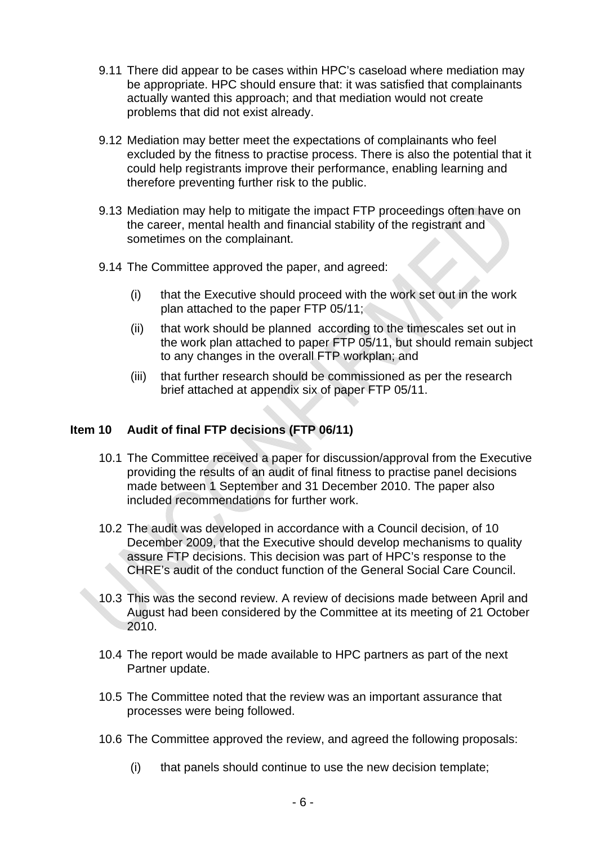- 9.11 There did appear to be cases within HPC's caseload where mediation may be appropriate. HPC should ensure that: it was satisfied that complainants actually wanted this approach; and that mediation would not create problems that did not exist already.
- 9.12 Mediation may better meet the expectations of complainants who feel excluded by the fitness to practise process. There is also the potential that it could help registrants improve their performance, enabling learning and therefore preventing further risk to the public.
- 9.13 Mediation may help to mitigate the impact FTP proceedings often have on the career, mental health and financial stability of the registrant and sometimes on the complainant.
- 9.14 The Committee approved the paper, and agreed:
	- (i) that the Executive should proceed with the work set out in the work plan attached to the paper FTP 05/11;
	- (ii) that work should be planned according to the timescales set out in the work plan attached to paper FTP 05/11, but should remain subject to any changes in the overall FTP workplan; and
	- (iii) that further research should be commissioned as per the research brief attached at appendix six of paper FTP 05/11.

#### **Item 10 Audit of final FTP decisions (FTP 06/11)**

- 10.1 The Committee received a paper for discussion/approval from the Executive providing the results of an audit of final fitness to practise panel decisions made between 1 September and 31 December 2010. The paper also included recommendations for further work.
- 10.2 The audit was developed in accordance with a Council decision, of 10 December 2009, that the Executive should develop mechanisms to quality assure FTP decisions. This decision was part of HPC's response to the CHRE's audit of the conduct function of the General Social Care Council.
- 10.3 This was the second review. A review of decisions made between April and August had been considered by the Committee at its meeting of 21 October 2010.
- 10.4 The report would be made available to HPC partners as part of the next Partner update.
- 10.5 The Committee noted that the review was an important assurance that processes were being followed.
- 10.6 The Committee approved the review, and agreed the following proposals:
	- (i) that panels should continue to use the new decision template;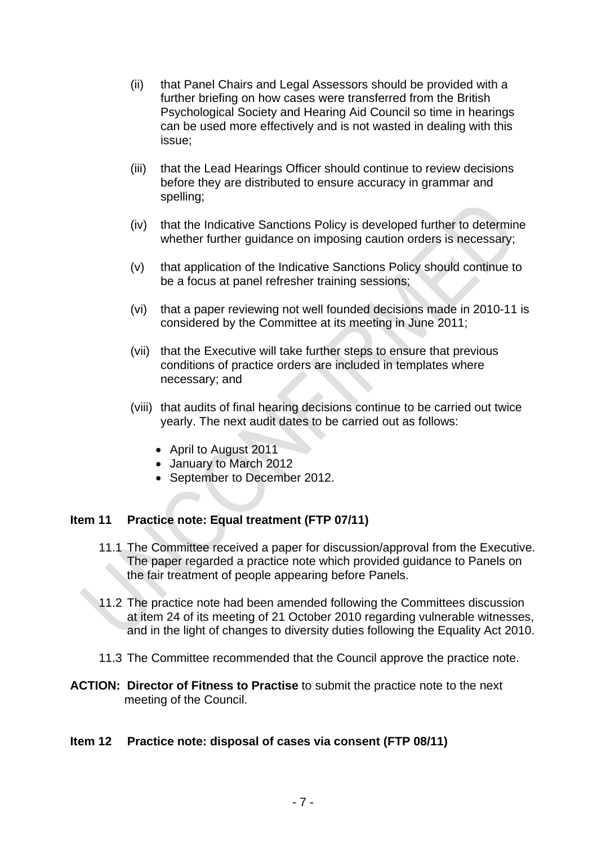- (ii) that Panel Chairs and Legal Assessors should be provided with a further briefing on how cases were transferred from the British Psychological Society and Hearing Aid Council so time in hearings can be used more effectively and is not wasted in dealing with this issue;
- (iii) that the Lead Hearings Officer should continue to review decisions before they are distributed to ensure accuracy in grammar and spelling;
- (iv) that the Indicative Sanctions Policy is developed further to determine whether further guidance on imposing caution orders is necessary;
- (v) that application of the Indicative Sanctions Policy should continue to be a focus at panel refresher training sessions;
- (vi) that a paper reviewing not well founded decisions made in 2010-11 is considered by the Committee at its meeting in June 2011;
- (vii) that the Executive will take further steps to ensure that previous conditions of practice orders are included in templates where necessary; and
- (viii) that audits of final hearing decisions continue to be carried out twice yearly. The next audit dates to be carried out as follows:
	- April to August 2011
	- January to March 2012
	- September to December 2012.

## **Item 11 Practice note: Equal treatment (FTP 07/11)**

- 11.1 The Committee received a paper for discussion/approval from the Executive. The paper regarded a practice note which provided guidance to Panels on the fair treatment of people appearing before Panels.
- 11.2 The practice note had been amended following the Committees discussion at item 24 of its meeting of 21 October 2010 regarding vulnerable witnesses, and in the light of changes to diversity duties following the Equality Act 2010.
- 11.3 The Committee recommended that the Council approve the practice note.
- **ACTION: Director of Fitness to Practise** to submit the practice note to the next meeting of the Council.

#### **Item 12 Practice note: disposal of cases via consent (FTP 08/11)**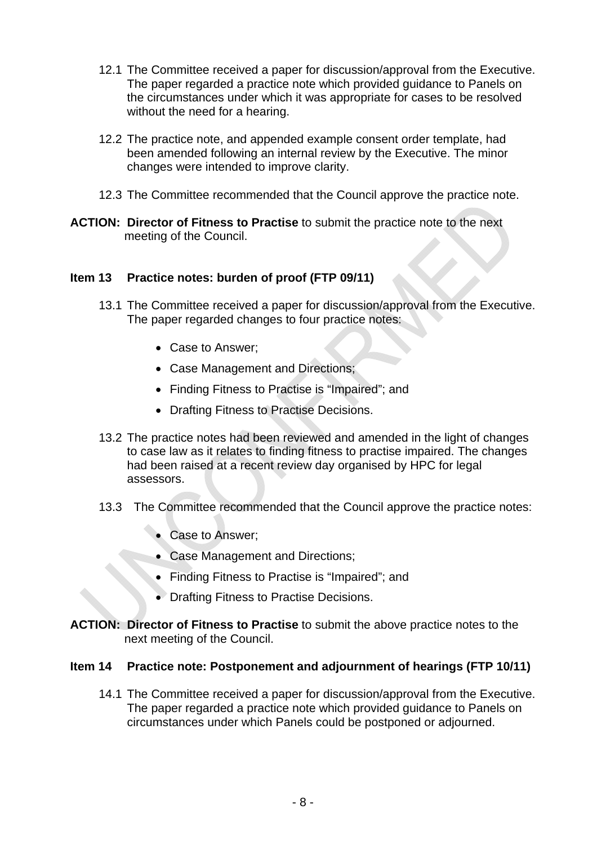- 12.1 The Committee received a paper for discussion/approval from the Executive. The paper regarded a practice note which provided guidance to Panels on the circumstances under which it was appropriate for cases to be resolved without the need for a hearing.
- 12.2 The practice note, and appended example consent order template, had been amended following an internal review by the Executive. The minor changes were intended to improve clarity.
- 12.3 The Committee recommended that the Council approve the practice note.
- **ACTION: Director of Fitness to Practise** to submit the practice note to the next meeting of the Council.

## **Item 13 Practice notes: burden of proof (FTP 09/11)**

- 13.1 The Committee received a paper for discussion/approval from the Executive. The paper regarded changes to four practice notes:
	- Case to Answer;
	- Case Management and Directions;
	- Finding Fitness to Practise is "Impaired"; and
	- Drafting Fitness to Practise Decisions.
- 13.2 The practice notes had been reviewed and amended in the light of changes to case law as it relates to finding fitness to practise impaired. The changes had been raised at a recent review day organised by HPC for legal assessors.
- 13.3 The Committee recommended that the Council approve the practice notes:
	- Case to Answer;
	- Case Management and Directions;
	- Finding Fitness to Practise is "Impaired"; and
	- Drafting Fitness to Practise Decisions.
- **ACTION: Director of Fitness to Practise** to submit the above practice notes to the next meeting of the Council.

## **Item 14 Practice note: Postponement and adjournment of hearings (FTP 10/11)**

14.1 The Committee received a paper for discussion/approval from the Executive. The paper regarded a practice note which provided guidance to Panels on circumstances under which Panels could be postponed or adjourned.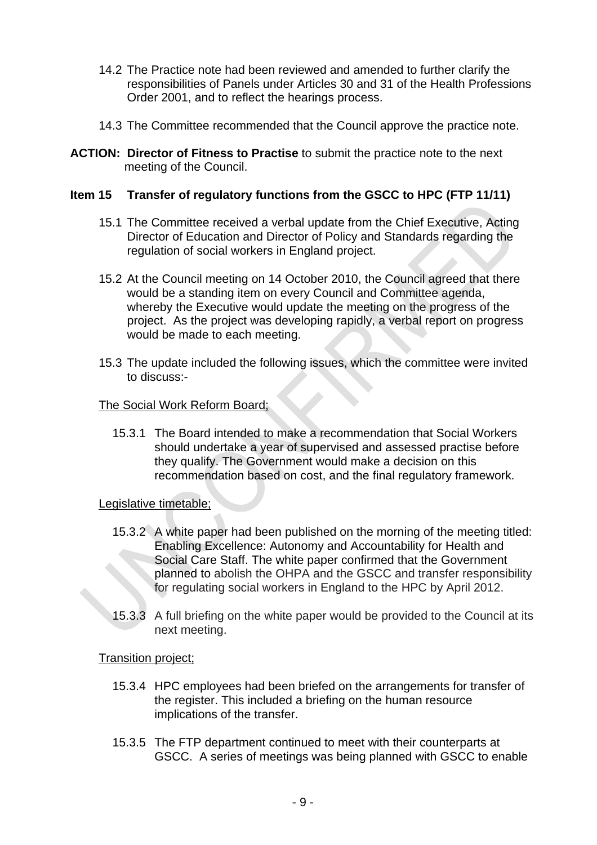- 14.2 The Practice note had been reviewed and amended to further clarify the responsibilities of Panels under Articles 30 and 31 of the Health Professions Order 2001, and to reflect the hearings process.
- 14.3 The Committee recommended that the Council approve the practice note.
- **ACTION: Director of Fitness to Practise** to submit the practice note to the next meeting of the Council.

## **Item 15 Transfer of regulatory functions from the GSCC to HPC (FTP 11/11)**

- 15.1 The Committee received a verbal update from the Chief Executive, Acting Director of Education and Director of Policy and Standards regarding the regulation of social workers in England project.
- 15.2 At the Council meeting on 14 October 2010, the Council agreed that there would be a standing item on every Council and Committee agenda, whereby the Executive would update the meeting on the progress of the project. As the project was developing rapidly, a verbal report on progress would be made to each meeting.
- 15.3 The update included the following issues, which the committee were invited to discuss:-

#### The Social Work Reform Board;

15.3.1 The Board intended to make a recommendation that Social Workers should undertake a year of supervised and assessed practise before they qualify. The Government would make a decision on this recommendation based on cost, and the final regulatory framework.

#### Legislative timetable:

- 15.3.2 A white paper had been published on the morning of the meeting titled: Enabling Excellence: Autonomy and Accountability for Health and Social Care Staff. The white paper confirmed that the Government planned to abolish the OHPA and the GSCC and transfer responsibility for regulating social workers in England to the HPC by April 2012.
- 15.3.3 A full briefing on the white paper would be provided to the Council at its next meeting.

#### Transition project;

- 15.3.4 HPC employees had been briefed on the arrangements for transfer of the register. This included a briefing on the human resource implications of the transfer.
- 15.3.5 The FTP department continued to meet with their counterparts at GSCC. A series of meetings was being planned with GSCC to enable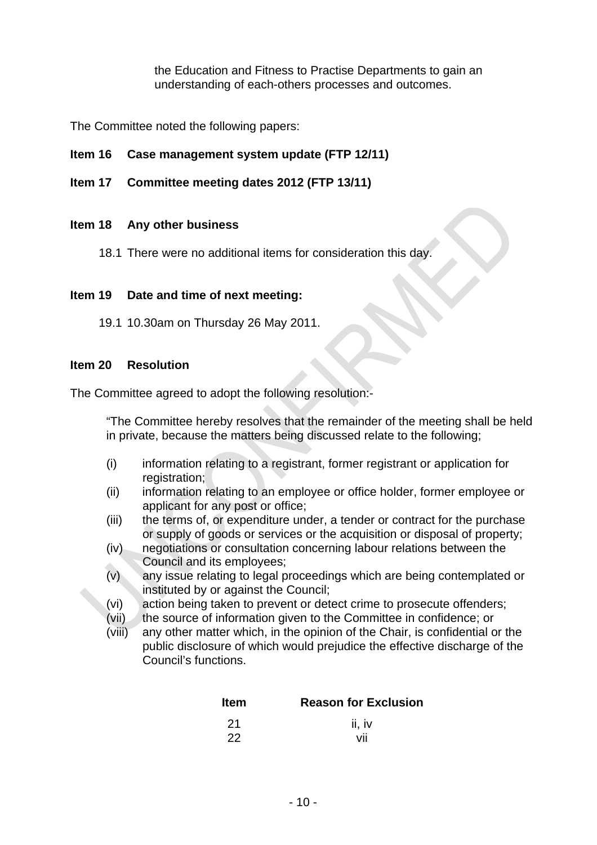the Education and Fitness to Practise Departments to gain an understanding of each-others processes and outcomes.

The Committee noted the following papers:

## **Item 16 Case management system update (FTP 12/11)**

**Item 17 Committee meeting dates 2012 (FTP 13/11)** 

## **Item 18 Any other business**

18.1 There were no additional items for consideration this day.

## **Item 19 Date and time of next meeting:**

19.1 10.30am on Thursday 26 May 2011.

#### **Item 20 Resolution**

The Committee agreed to adopt the following resolution:-

"The Committee hereby resolves that the remainder of the meeting shall be held in private, because the matters being discussed relate to the following;

- (i) information relating to a registrant, former registrant or application for registration:
- (ii) information relating to an employee or office holder, former employee or applicant for any post or office;
- (iii) the terms of, or expenditure under, a tender or contract for the purchase or supply of goods or services or the acquisition or disposal of property;
- (iv) negotiations or consultation concerning labour relations between the Council and its employees;
- (v) any issue relating to legal proceedings which are being contemplated or instituted by or against the Council;
- (vi) action being taken to prevent or detect crime to prosecute offenders;
- (vii) the source of information given to the Committee in confidence; or
- (viii) any other matter which, in the opinion of the Chair, is confidential or the public disclosure of which would prejudice the effective discharge of the Council's functions.

| <b>Item</b> | <b>Reason for Exclusion</b> |  |  |
|-------------|-----------------------------|--|--|
| - 21        | ii, iv                      |  |  |
| 22          | ۷ıı                         |  |  |